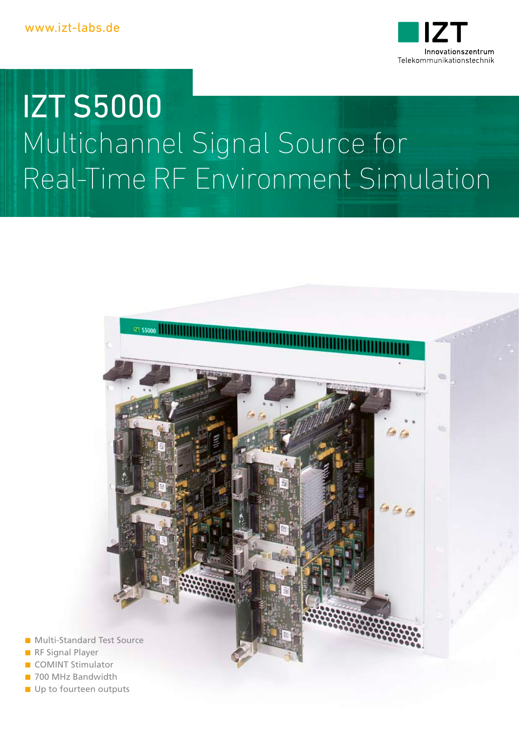

# IZT S5000 Multichannel Signal Source for Real-Time RF Environment Simulation



- **Multi-Standard Test Source**
- RF Signal Player
- COMINT Stimulator
- 700 MHz Bandwidth
- Up to fourteen outputs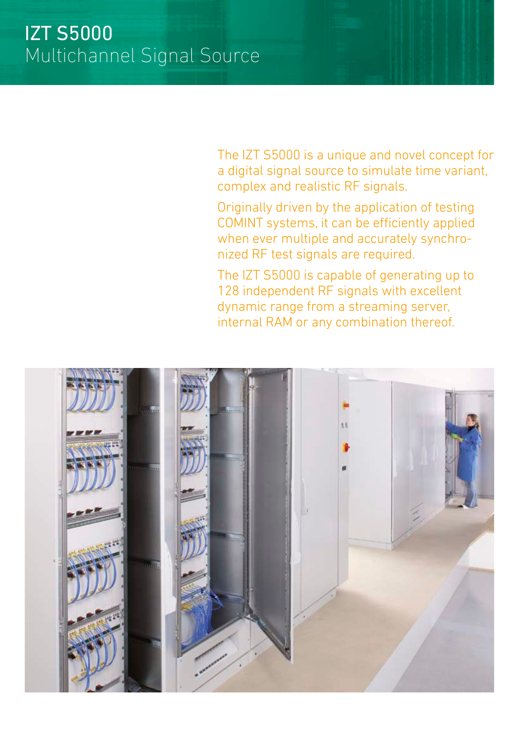The IZT S5000 is a unique and novel concept for a digital signal source to simulate time variant, complex and realistic RF signals.

Originally driven by the application of testing COMINT systems, it can be efficiently applied when ever multiple and accurately synchronized RF test signals are required.

The IZT S5000 is capable of generating up to 128 independent RF signals with excellent dynamic range from a streaming server, internal RAM or any combination thereof.

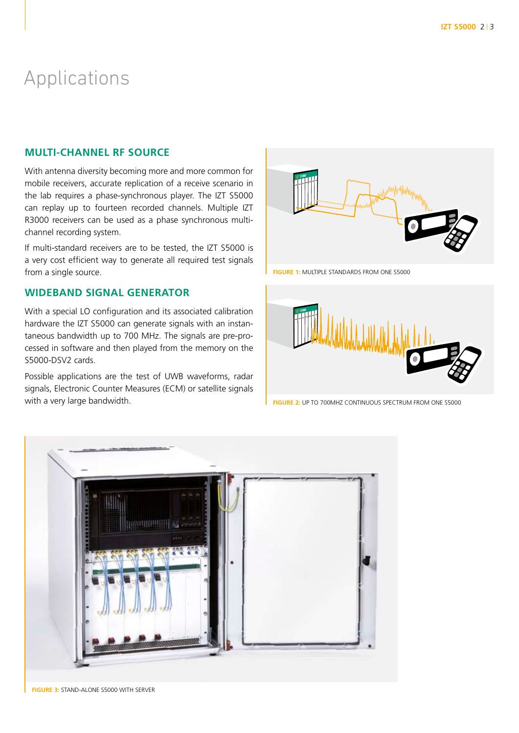# Applications

### **MulTI-CHaNNel rf SOurCe**

With antenna diversity becoming more and more common for mobile receivers, accurate replication of a receive scenario in the lab requires a phase-synchronous player. The IZT S5000 can replay up to fourteen recorded channels. Multiple IZT R3000 receivers can be used as a phase synchronous multichannel recording system.

If multi-standard receivers are to be tested, the IZT S5000 is a very cost efficient way to generate all required test signals from a single source.

# **wIDeBaND SIgNal geNeraTOr**

With a special LO configuration and its associated calibration hardware the IZT S5000 can generate signals with an instantaneous bandwidth up to 700 MHz. The signals are pre-processed in software and then played from the memory on the S5000-DSV2 cards.

Possible applications are the test of UWB waveforms, radar signals, Electronic Counter Measures (ECM) or satellite signals with a very large bandwidth.



**fIgure 1:** MulTIPle STaNDaRDS FROM ONe S5000



**fIgure 2:** uP TO 700MHZ CONTINuOuS SPeCTRuM FROM ONe S5000



**fIgure 3:** STaND-alONe S5000 WITH SeRVeR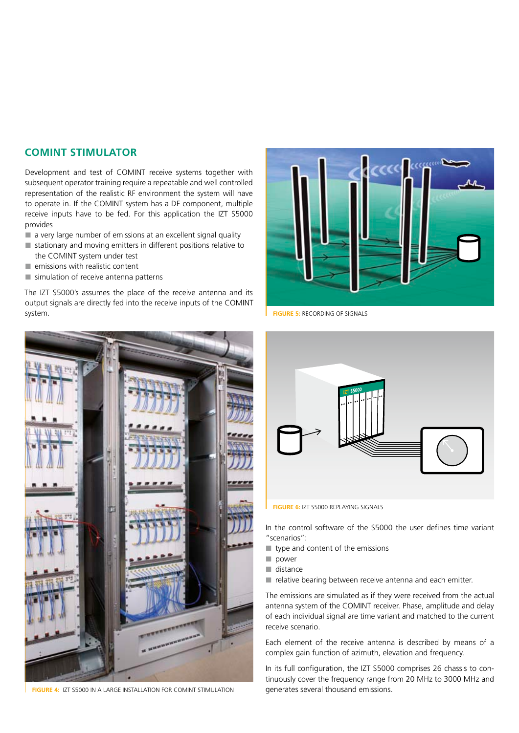# **COMINT Stimulator**

Development and test of COMINT receive systems together with subsequent operator training require a repeatable and well controlled representation of the realistic RF environment the system will have to operate in. If the COMINT system has a DF component, multiple receive inputs have to be fed. For this application the IZT S5000 provides

- $\blacksquare$  a very large number of emissions at an excellent signal quality
- stationary and moving emitters in different positions relative to the COMINT system under test
- $\blacksquare$  emissions with realistic content
- $\blacksquare$  simulation of receive antenna patterns

The IZT S5000's assumes the place of the receive antenna and its output signals are directly fed into the receive inputs of the COMINT system. **figure 5: RECORDING OF SIGNALS** 



**FIGURE 4: IZT S5000 IN A LARGE INSTALLATION FOR COMINT STIMULATION generates several thousand emissions.** 





**figure 6:** IZT S5000 replaying signals

In the control software of the S5000 the user defines time variant "scenarios":

- $\blacksquare$  type and content of the emissions
- **power**
- distance
- $\blacksquare$  relative bearing between receive antenna and each emitter.

The emissions are simulated as if they were received from the actual antenna system of the COMINT receiver. Phase, amplitude and delay of each individual signal are time variant and matched to the current receive scenario.

Each element of the receive antenna is described by means of a complex gain function of azimuth, elevation and frequency.

In its full configuration, the IZT S5000 comprises 26 chassis to continuously cover the frequency range from 20 MHz to 3000 MHz and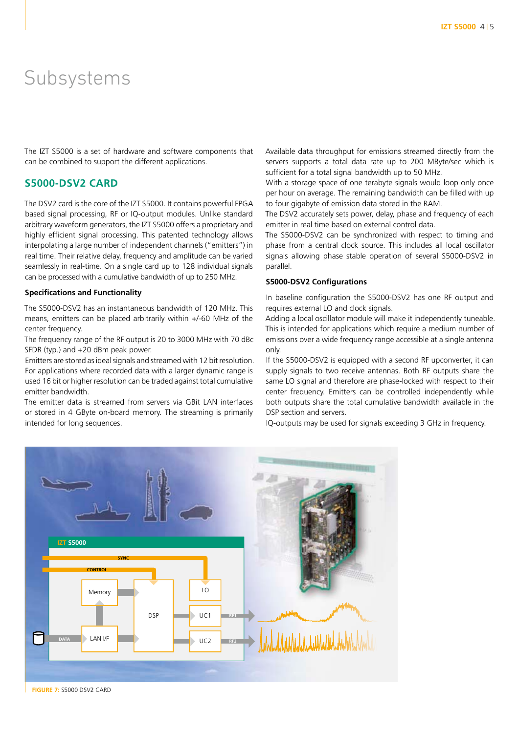# Subsystems

The IZT S5000 is a set of hardware and software components that can be combined to support the different applications.

### **S5000-DSV2 CarD**

The DSV2 card is the core of the IZT S5000. It contains powerful FPGA based signal processing, RF or IQ-output modules. Unlike standard arbitrary waveform generators, the IZT S5000 offers a proprietary and highly efficient signal processing. This patented technology allows interpolating a large number of independent channels ("emitters") in real time. Their relative delay, frequency and amplitude can be varied seamlessly in real-time. On a single card up to 128 individual signals can be processed with a cumulative bandwidth of up to 250 MHz.

#### **Specifications and Functionality**

The S5000-DSV2 has an instantaneous bandwidth of 120 MHz. This means, emitters can be placed arbitrarily within +/-60 MHz of the center frequency.

The frequency range of the RF output is 20 to 3000 MHz with 70 dBc SFDR (typ.) and +20 dBm peak power.

emitters are stored as ideal signals and streamed with 12 bit resolution. For applications where recorded data with a larger dynamic range is used 16 bit or higher resolution can be traded against total cumulative emitter bandwidth.

The emitter data is streamed from servers via GBit LAN interfaces or stored in 4 gByte on-board memory. The streaming is primarily intended for long sequences.

available data throughput for emissions streamed directly from the servers supports a total data rate up to 200 MByte/sec which is sufficient for a total signal bandwidth up to 50 MHz.

With a storage space of one terabyte signals would loop only once per hour on average. The remaining bandwidth can be filled with up to four gigabyte of emission data stored in the RaM.

The DSV2 accurately sets power, delay, phase and frequency of each emitter in real time based on external control data.

The S5000-DSV2 can be synchronized with respect to timing and phase from a central clock source. This includes all local oscillator signals allowing phase stable operation of several S5000-DSV2 in parallel.

#### **S5000-DSV2 Configurations**

In baseline configuration the S5000-DSV2 has one RF output and requires external LO and clock signals.

adding a local oscillator module will make it independently tuneable. This is intended for applications which require a medium number of emissions over a wide frequency range accessible at a single antenna only.

If the S5000-DSV2 is equipped with a second RF upconverter, it can supply signals to two receive antennas. Both RF outputs share the same LO signal and therefore are phase-locked with respect to their center frequency. Emitters can be controlled independently while both outputs share the total cumulative bandwidth available in the DSP section and servers.

IQ-outputs may be used for signals exceeding 3 GHz in frequency.



**fIgure 7:** S5000 DSV2 CaRD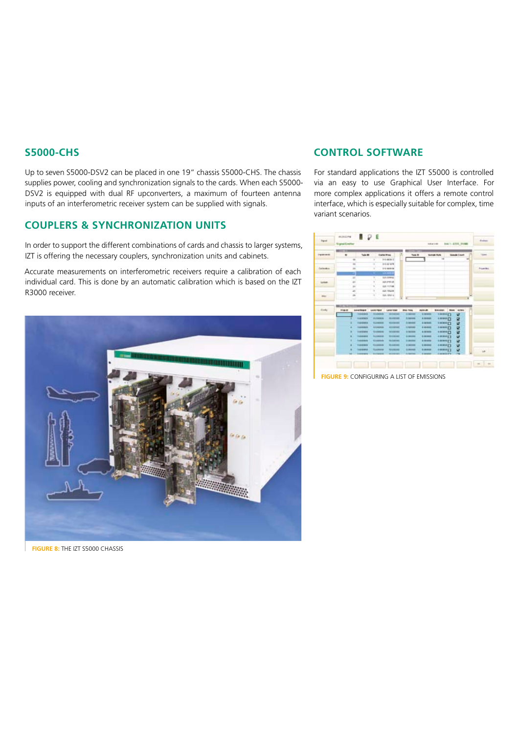### **S5000-CHS**

Up to seven S5000-DSV2 can be placed in one 19" chassis S5000-CHS. The chassis supplies power, cooling and synchronization signals to the cards. When each S5000- DSV2 is equipped with dual RF upconverters, a maximum of fourteen antenna inputs of an interferometric receiver system can be supplied with signals.

### **Couplers & Synchronization Units**

In order to support the different combinations of cards and chassis to larger systems, IZT is offering the necessary couplers, synchronization units and cabinets.

Accurate measurements on interferometric receivers require a calibration of each individual card. This is done by an automatic calibration which is based on the IZT R3000 receiver.



**figure 8:** The IZT S5000 Chassis

# **Control Software**

For standard applications the IZT S5000 is controlled via an easy to use Graphical User Interface. For more complex applications it offers a remote control interface, which is especially suitable for complex, time variant scenarios.

| <b>Builder</b>    |   |                     | <b>BALT: ESSE SVAKE</b> | 101211-012                           |                   |                    |                              |                                | 8 D E                                  | <b><i><u>Syngdia Africa</u></i></b> |         |
|-------------------|---|---------------------|-------------------------|--------------------------------------|-------------------|--------------------|------------------------------|--------------------------------|----------------------------------------|-------------------------------------|---------|
|                   |   |                     |                         |                                      |                   | œ                  |                              |                                |                                        |                                     |         |
| <b>SERVICE</b>    | × | <b>Semale Count</b> |                         | <b>Somale Rule</b>                   |                   | Team Bt            |                              | <b>Carles Blass</b>            | Tyle BF                                | $\blacksquare$                      | warms:  |
|                   |   |                     |                         |                                      |                   |                    | <b>P-4-8410-15</b>           |                                | tä.                                    |                                     |         |
|                   |   |                     |                         |                                      |                   |                    | 214249                       | ٠                              | w                                      |                                     |         |
| <b>Programmer</b> |   |                     |                         |                                      |                   |                    | <b>STE MAKER</b>             | ٠                              | i6                                     |                                     | latesto |
|                   |   |                     |                         |                                      |                   |                    | ⊶                            |                                | u                                      |                                     |         |
|                   |   |                     |                         |                                      |                   |                    | <b>IUA crenus</b>            | ٠                              | $\overline{1}$                         |                                     |         |
|                   |   |                     |                         |                                      |                   |                    | <b>JUSTINER</b>              |                                | zs:<br>W                               |                                     |         |
|                   |   |                     |                         |                                      |                   |                    | <b>JULIETIA</b>              |                                |                                        |                                     |         |
|                   |   |                     |                         |                                      |                   |                    | <b>IGE-TEGEN</b>             |                                | ×<br>si.                               |                                     |         |
|                   |   |                     |                         |                                      |                   |                    |                              |                                |                                        |                                     |         |
|                   | × |                     |                         |                                      |                   | ×                  | 108.195212                   |                                |                                        |                                     |         |
|                   |   |                     |                         |                                      |                   |                    |                              |                                |                                        |                                     |         |
|                   |   | Army                | $\frac{1}{2}$           | <b>Biscoper</b>                      | <b>APPLIE</b>     | <b>Stok From</b>   | Law was                      | Local Travel                   | sevenses                               | <b>Hille M</b>                      |         |
|                   |   | ₽                   |                         | <b><i><u>AMMED</u></i></b>           | & Models          | --                 | <b>AA Lucreas</b>            | <b><i><u>ELEMENT</u></i></b>   | <b>TANGAL</b>                          |                                     |         |
|                   |   | 귵                   |                         | <b>A MARIE CT</b>                    | 8.50000           | 3.0000             | 11110101                     | <b>ES EMBOS</b>                | <b>LABINS</b>                          | ٠                                   |         |
|                   |   | 귵                   |                         | <b><i>AMMED</i></b>                  | 6.50046           | <b>A children</b>  | <b>WASHING</b>               | <b>ELEMINA</b>                 | <b><i><i><u>industrial</u></i></i></b> | ٠                                   |         |
|                   |   | ü                   |                         | <b>FRANCIS</b>                       | 8.80000           | <b>A Paintings</b> | <b>ALCOHOL:</b>              | <b>ESUMMAGE</b>                | <b>LEASING</b>                         | ۰                                   |         |
|                   |   | ü                   |                         | <b><i>AMMED</i></b>                  | 4.0000            | 3.141.000          | <b>91100100</b>              | 12 sidere                      | <b>Lighters</b>                        | ٠                                   |         |
|                   |   | u                   |                         | <b>AMONGET</b>                       | <b>A decision</b> | <b>Bridgewood</b>  | <b><i>SERGENCE</i></b>       | <b>LE JOINARD</b>              | <b>TERRITORY</b>                       | ٠                                   |         |
|                   |   | Q.                  |                         | <b><i>SHOWER</i></b>                 | <b>A Montree</b>  | <b>STATISTICS</b>  | <b>NA AMERICAN</b>           | 120600-0                       | 1100010                                | ٠                                   |         |
|                   |   | u                   |                         | <b><i>DRINGET</i></b>                | <b>Limited</b>    | <b>Britannica</b>  | <b><i>NAMER</i></b>          | <b><i><u>Elizabeth</u></i></b> | 1100001                                | ٠                                   |         |
| ue.               |   | Q.<br><b>PE</b>     |                         | 100017<br><b>Amming</b> <sup>1</sup> | 1,000             | <b>Litterate</b>   | <b><i><u>SEASONA</u></i></b> | <b>Elizabetica</b>             | <b>Teamers</b>                         |                                     |         |

**FIGURE 9:** CONFIGURING A LIST OF EMISSIONS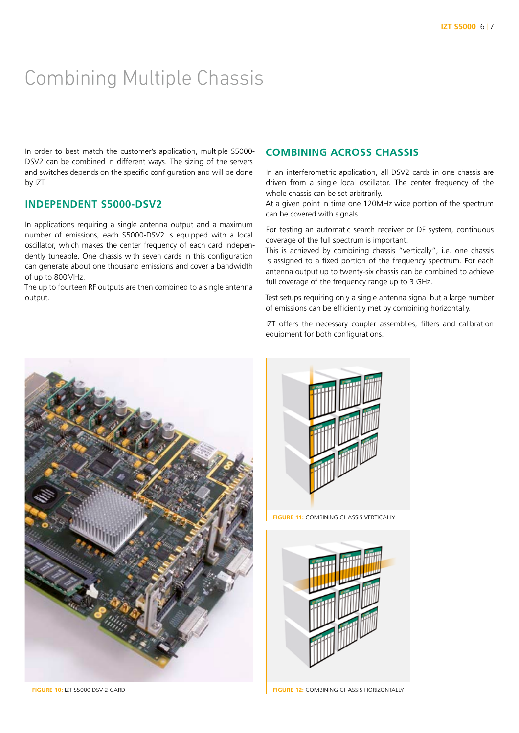# Combining Multiple Chassis

In order to best match the customer's application, multiple S5000- DSV2 can be combined in different ways. The sizing of the servers and switches depends on the specific configuration and will be done by IZT.

## **INDepeNDeNT S5000-DSV2**

In applications requiring a single antenna output and a maximum number of emissions, each S5000-DSV2 is equipped with a local oscillator, which makes the center frequency of each card independently tuneable. One chassis with seven cards in this configuration can generate about one thousand emissions and cover a bandwidth of up to 800MHz.

The up to fourteen RF outputs are then combined to a single antenna output.

# **COMBININg aCrOSS CHaSSIS**

In an interferometric application, all DSV2 cards in one chassis are driven from a single local oscillator. The center frequency of the whole chassis can be set arbitrarily.

at a given point in time one 120MHz wide portion of the spectrum can be covered with signals.

For testing an automatic search receiver or DF system, continuous coverage of the full spectrum is important.

This is achieved by combining chassis "vertically", i.e. one chassis is assigned to a fixed portion of the frequency spectrum. For each antenna output up to twenty-six chassis can be combined to achieve full coverage of the frequency range up to 3 GHz.

Test setups requiring only a single antenna signal but a large number of emissions can be efficiently met by combining horizontally.

IZT offers the necessary coupler assemblies, filters and calibration equipment for both configurations.







**FIGURE 11: COMBINING CHASSIS VERTICALLY** 



**FIGURE 12: COMBINING CHASSIS HORIZONTALLY**